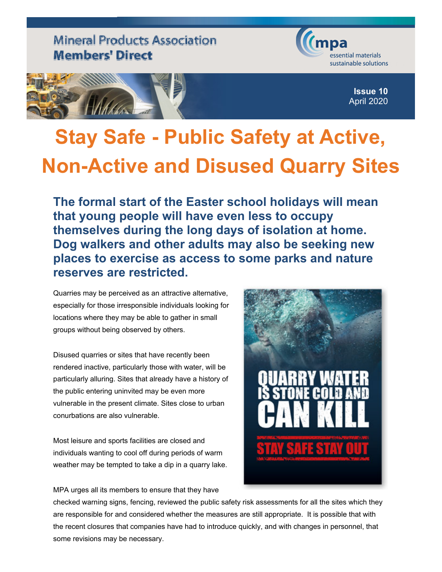**Mineral Products Association Members' Direct** 



**Issue 10** April 2020

## **Stay Safe - Public Safety at Active, Non-Active and Disused Quarry Sites**

**The formal start of the Easter school holidays will mean that young people will have even less to occupy themselves during the long days of isolation at home. Dog walkers and other adults may also be seeking new places to exercise as access to some parks and nature reserves are restricted.**

Quarries may be perceived as an attractive alternative, especially for those irresponsible individuals looking for locations where they may be able to gather in small groups without being observed by others.

Disused quarries or sites that have recently been rendered inactive, particularly those with water, will be particularly alluring. Sites that already have a history of the public entering uninvited may be even more vulnerable in the present climate. Sites close to urban conurbations are also vulnerable.

Most leisure and sports facilities are closed and individuals wanting to cool off during periods of warm weather may be tempted to take a dip in a quarry lake.

MPA urges all its members to ensure that they have



checked warning signs, fencing, reviewed the public safety risk assessments for all the sites which they are responsible for and considered whether the measures are still appropriate. It is possible that with the recent closures that companies have had to introduce quickly, and with changes in personnel, that some revisions may be necessary.